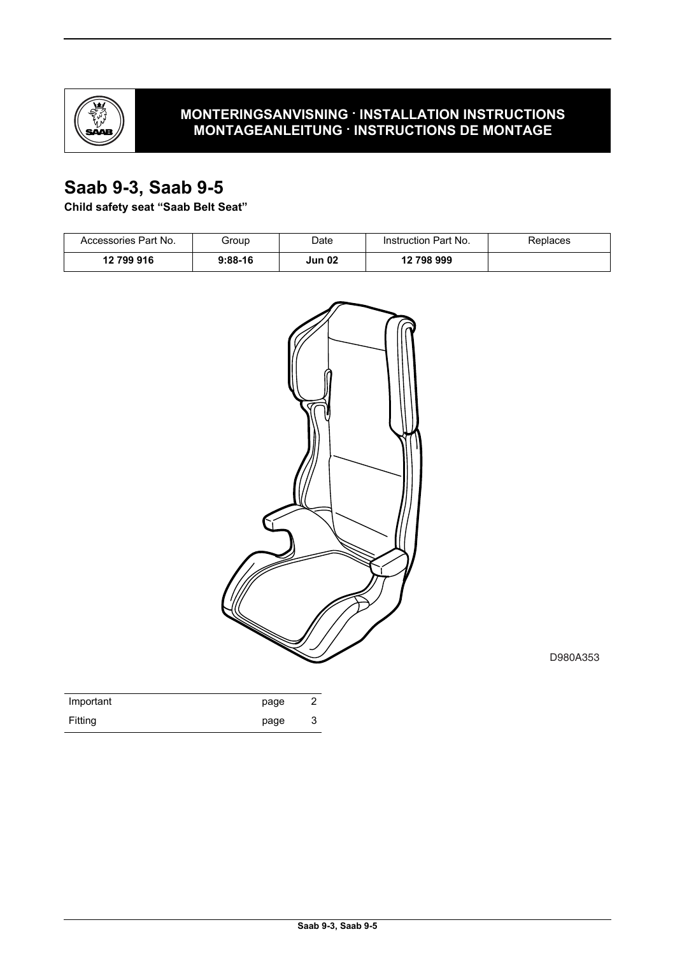

### **MONTERINGSANVISNING · INSTALLATION INSTRUCTIONS MONTAGEANLEITUNG · INSTRUCTIONS DE MONTAGE**

# **Saab 9-3, Saab 9-5**

**Child safety seat "Saab Belt Seat"**

| Accessories Part No. | Group     | Date          | Instruction Part No. | Replaces |
|----------------------|-----------|---------------|----------------------|----------|
| 12 799 916           | $9:88-16$ | <b>Jun 02</b> | 12 798 999           |          |



D980A353

| Important | page |   |
|-----------|------|---|
| Fitting   | page | J |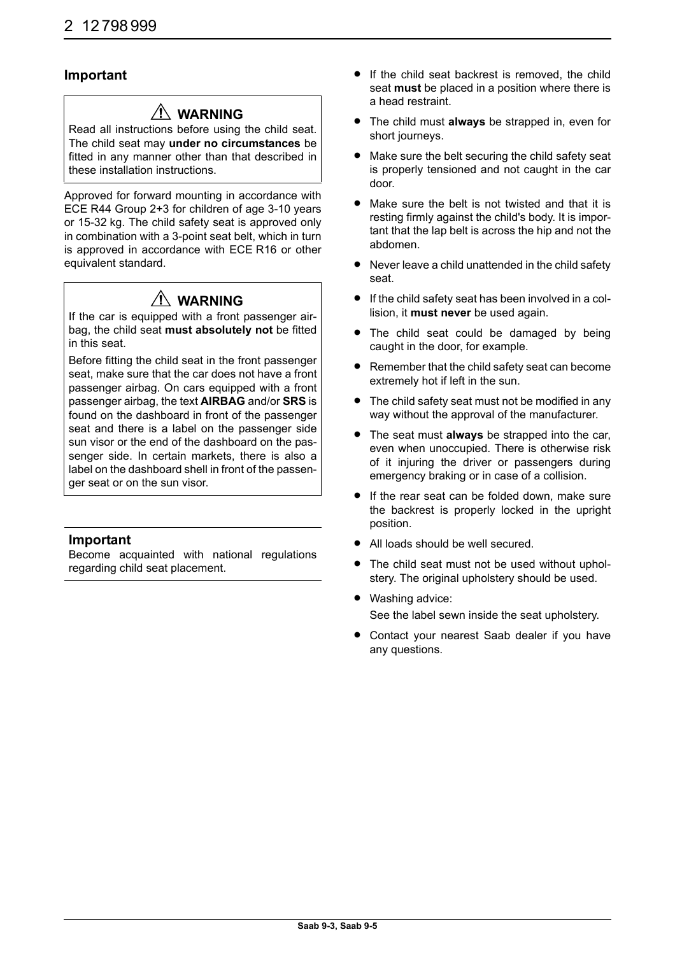#### **Important**

# **WARNING**

Read all instructions before using the child seat. The child seat may **under no circumstances** be fitted in any manner other than that described in these installation instructions.

Approved for forward mounting in accordance with ECE R44 Group 2+3 for children of age 3-10 years or 15-32 kg. The child safety seat is approved only in combination with a 3-point seat belt, which in turn is approved in accordance with ECE R16 or other equivalent standard.

# **WARNING**

If the car is equipped with a front passenger airbag, the child seat **must absolutely not** be fitted in this seat.

Before fitting the child seat in the front passenger seat, make sure that the car does not have a front passenger airbag. On cars equipped with a front passenger airbag, the text **AIRBAG** and/or **SRS** is found on the dashboard in front of the passenger seat and there is a label on the passenger side sun visor or the end of the dashboard on the passenger side. In certain markets, there is also a label on the dashboard shell in front of the passenger seat or on the sun visor.

#### **Important**

Become acquainted with national regulations regarding child seat placement.

- **•** If the child seat backrest is removed, the child seat **must** be placed in a position where there is a head restraint.
- The child must **always** be strapped in, even for short journeys.
- Make sure the belt securing the child safety seat is properly tensioned and not caught in the car door.
- Make sure the belt is not twisted and that it is resting firmly against the child's body. It is important that the lap belt is across the hip and not the abdomen.
- Never leave a child unattended in the child safety seat.
- If the child safety seat has been involved in a collision, it **must never** be used again.
- The child seat could be damaged by being caught in the door, for example.
- Remember that the child safety seat can become extremely hot if left in the sun.
- The child safety seat must not be modified in any way without the approval of the manufacturer.
- The seat must **always** be strapped into the car, even when unoccupied. There is otherwise risk of it injuring the driver or passengers during emergency braking or in case of a collision.
- If the rear seat can be folded down, make sure the backrest is properly locked in the upright position.
- All loads should be well secured.
- The child seat must not be used without upholstery. The original upholstery should be used.
- Washing advice: See the label sewn inside the seat upholstery.
- Contact your nearest Saab dealer if you have any questions.